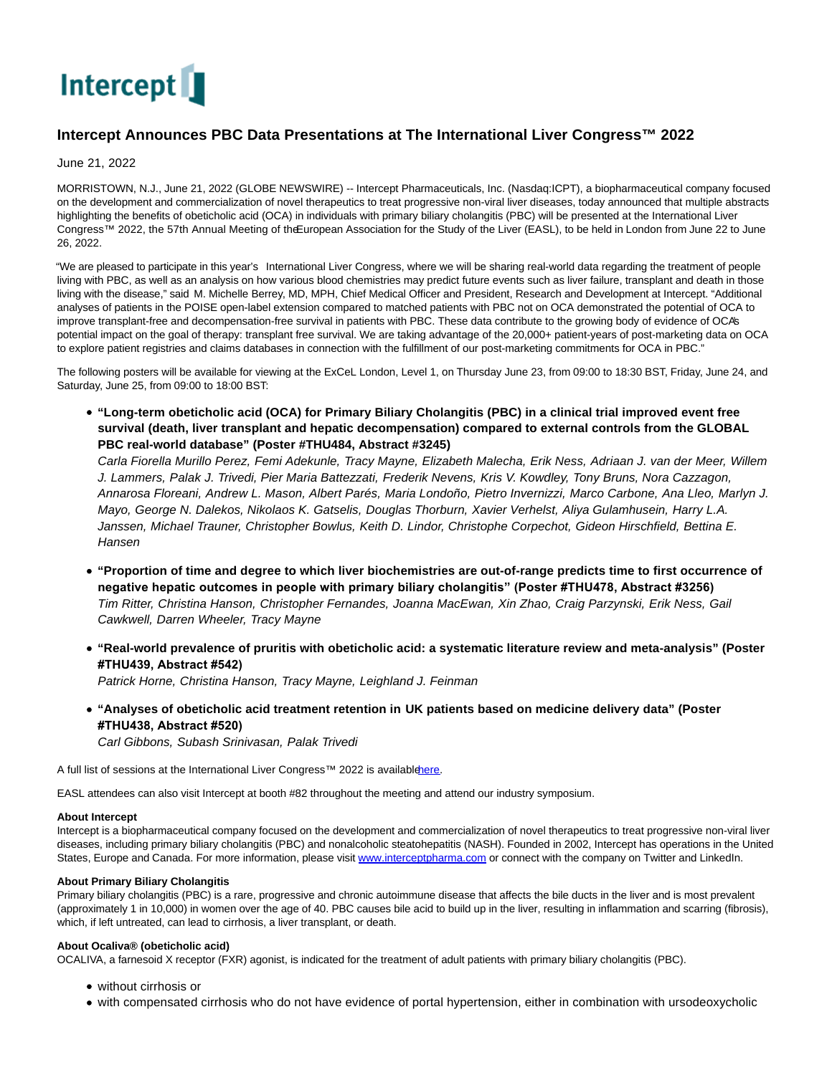

# **Intercept Announces PBC Data Presentations at The International Liver Congress™ 2022**

June 21, 2022

MORRISTOWN, N.J., June 21, 2022 (GLOBE NEWSWIRE) -- Intercept Pharmaceuticals, Inc. (Nasdaq:ICPT), a biopharmaceutical company focused on the development and commercialization of novel therapeutics to treat progressive non-viral liver diseases, today announced that multiple abstracts highlighting the benefits of obeticholic acid (OCA) in individuals with primary biliary cholangitis (PBC) will be presented at the International Liver Congress™ 2022, the 57th Annual Meeting of the European Association for the Study of the Liver (EASL), to be held in London from June 22 to June 26, 2022.

"We are pleased to participate in this year's International Liver Congress, where we will be sharing real-world data regarding the treatment of people living with PBC, as well as an analysis on how various blood chemistries may predict future events such as liver failure, transplant and death in those living with the disease," said M. Michelle Berrey, MD, MPH, Chief Medical Officer and President, Research and Development at Intercept. "Additional analyses of patients in the POISE open-label extension compared to matched patients with PBC not on OCA demonstrated the potential of OCA to improve transplant-free and decompensation-free survival in patients with PBC. These data contribute to the growing body of evidence of OCA's potential impact on the goal of therapy: transplant free survival. We are taking advantage of the 20,000+ patient-years of post-marketing data on OCA to explore patient registries and claims databases in connection with the fulfillment of our post-marketing commitments for OCA in PBC."

The following posters will be available for viewing at the ExCeL London, Level 1, on Thursday June 23, from 09:00 to 18:30 BST, Friday, June 24, and Saturday, June 25, from 09:00 to 18:00 BST:

**"Long-term obeticholic acid (OCA) for Primary Biliary Cholangitis (PBC) in a clinical trial improved event free survival (death, liver transplant and hepatic decompensation) compared to external controls from the GLOBAL PBC real-world database" (Poster #THU484, Abstract #3245)**

Carla Fiorella Murillo Perez, Femi Adekunle, Tracy Mayne, Elizabeth Malecha, Erik Ness, Adriaan J. van der Meer, Willem J. Lammers, Palak J. Trivedi, Pier Maria Battezzati, Frederik Nevens, Kris V. Kowdley, Tony Bruns, Nora Cazzagon, Annarosa Floreani, Andrew L. Mason, Albert Parés, Maria Londoño, Pietro Invernizzi, Marco Carbone, Ana Lleo, Marlyn J. Mayo, George N. Dalekos, Nikolaos K. Gatselis, Douglas Thorburn, Xavier Verhelst, Aliya Gulamhusein, Harry L.A. Janssen, Michael Trauner, Christopher Bowlus, Keith D. Lindor, Christophe Corpechot, Gideon Hirschfield, Bettina E. Hansen

- **"Proportion of time and degree to which liver biochemistries are out-of-range predicts time to first occurrence of negative hepatic outcomes in people with primary biliary cholangitis" (Poster #THU478, Abstract #3256)** Tim Ritter, Christina Hanson, Christopher Fernandes, Joanna MacEwan, Xin Zhao, Craig Parzynski, Erik Ness, Gail Cawkwell, Darren Wheeler, Tracy Mayne
- **"Real-world prevalence of pruritis with obeticholic acid: a systematic literature review and meta-analysis" (Poster #THU439, Abstract #542)**

Patrick Horne, Christina Hanson, Tracy Mayne, Leighland J. Feinman

**"Analyses of obeticholic acid treatment retention in UK patients based on medicine delivery data" (Poster #THU438, Abstract #520)**

Carl Gibbons, Subash Srinivasan, Palak Trivedi

A full list of sessions at the International Liver Congress™ 2022 is availabl[e here.](https://www.globenewswire.com/Tracker?data=ypGLymYrbxG_b0rfZy6nuiIHAEe0yGbOvKZ6BEsPCE99hYnjygHjYD2GloOFDmdX8sZ-CFOcu16T5OaWu52p9K3nrpDxDv0MPRXWgmdQaGOWPORg_n0L-9ABvmfaeL6b)

EASL attendees can also visit Intercept at booth #82 throughout the meeting and attend our industry symposium.

## **About Intercept**

Intercept is a biopharmaceutical company focused on the development and commercialization of novel therapeutics to treat progressive non-viral liver diseases, including primary biliary cholangitis (PBC) and nonalcoholic steatohepatitis (NASH). Founded in 2002, Intercept has operations in the United States, Europe and Canada. For more information, please visit www.interceptoharma.com or connect with the company on Twitter and LinkedIn.

## **About Primary Biliary Cholangitis**

Primary biliary cholangitis (PBC) is a rare, progressive and chronic autoimmune disease that affects the bile ducts in the liver and is most prevalent (approximately 1 in 10,000) in women over the age of 40. PBC causes bile acid to build up in the liver, resulting in inflammation and scarring (fibrosis), which, if left untreated, can lead to cirrhosis, a liver transplant, or death.

## **About Ocaliva® (obeticholic acid)**

OCALIVA, a farnesoid X receptor (FXR) agonist, is indicated for the treatment of adult patients with primary biliary cholangitis (PBC).

- without cirrhosis or
- with compensated cirrhosis who do not have evidence of portal hypertension, either in combination with ursodeoxycholic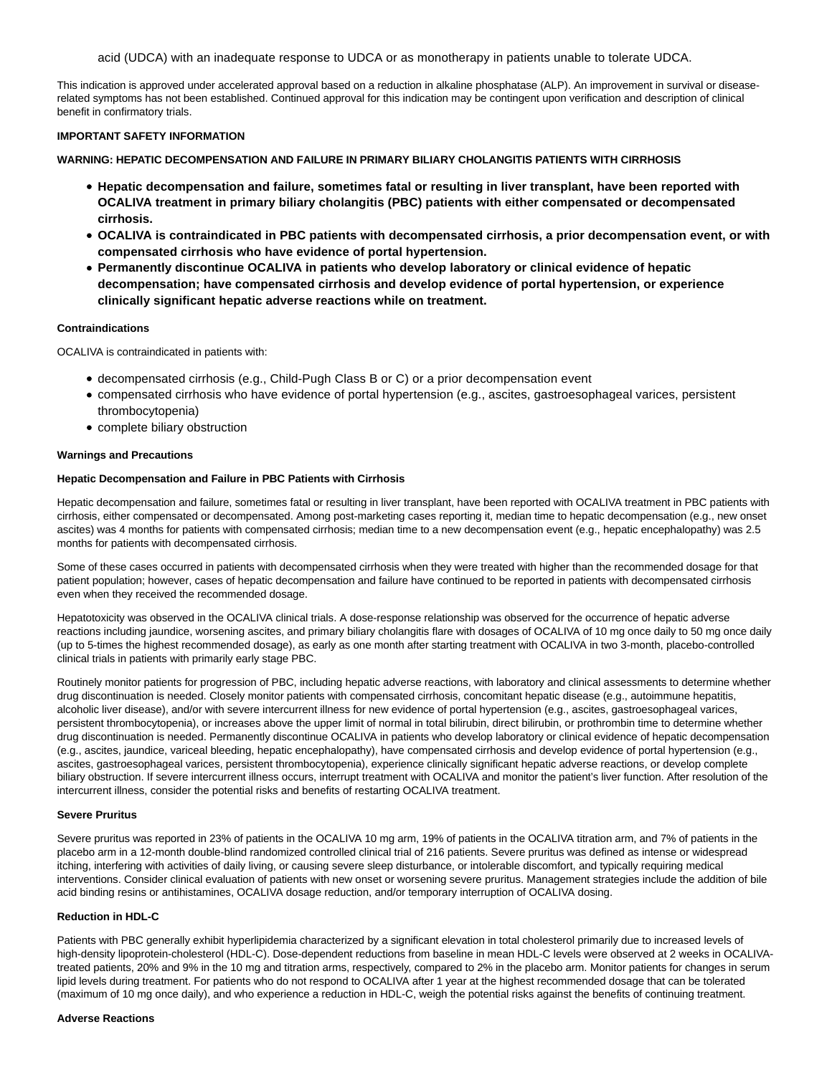acid (UDCA) with an inadequate response to UDCA or as monotherapy in patients unable to tolerate UDCA.

This indication is approved under accelerated approval based on a reduction in alkaline phosphatase (ALP). An improvement in survival or diseaserelated symptoms has not been established. Continued approval for this indication may be contingent upon verification and description of clinical benefit in confirmatory trials.

#### **IMPORTANT SAFETY INFORMATION**

**WARNING: HEPATIC DECOMPENSATION AND FAILURE IN PRIMARY BILIARY CHOLANGITIS PATIENTS WITH CIRRHOSIS**

- **Hepatic decompensation and failure, sometimes fatal or resulting in liver transplant, have been reported with OCALIVA treatment in primary biliary cholangitis (PBC) patients with either compensated or decompensated cirrhosis.**
- **OCALIVA is contraindicated in PBC patients with decompensated cirrhosis, a prior decompensation event, or with compensated cirrhosis who have evidence of portal hypertension.**
- **Permanently discontinue OCALIVA in patients who develop laboratory or clinical evidence of hepatic decompensation; have compensated cirrhosis and develop evidence of portal hypertension, or experience clinically significant hepatic adverse reactions while on treatment.**

#### **Contraindications**

OCALIVA is contraindicated in patients with:

- decompensated cirrhosis (e.g., Child-Pugh Class B or C) or a prior decompensation event
- compensated cirrhosis who have evidence of portal hypertension (e.g., ascites, gastroesophageal varices, persistent thrombocytopenia)
- complete biliary obstruction

# **Warnings and Precautions**

#### **Hepatic Decompensation and Failure in PBC Patients with Cirrhosis**

Hepatic decompensation and failure, sometimes fatal or resulting in liver transplant, have been reported with OCALIVA treatment in PBC patients with cirrhosis, either compensated or decompensated. Among post-marketing cases reporting it, median time to hepatic decompensation (e.g., new onset ascites) was 4 months for patients with compensated cirrhosis; median time to a new decompensation event (e.g., hepatic encephalopathy) was 2.5 months for patients with decompensated cirrhosis.

Some of these cases occurred in patients with decompensated cirrhosis when they were treated with higher than the recommended dosage for that patient population; however, cases of hepatic decompensation and failure have continued to be reported in patients with decompensated cirrhosis even when they received the recommended dosage.

Hepatotoxicity was observed in the OCALIVA clinical trials. A dose-response relationship was observed for the occurrence of hepatic adverse reactions including jaundice, worsening ascites, and primary biliary cholangitis flare with dosages of OCALIVA of 10 mg once daily to 50 mg once daily (up to 5-times the highest recommended dosage), as early as one month after starting treatment with OCALIVA in two 3-month, placebo-controlled clinical trials in patients with primarily early stage PBC.

Routinely monitor patients for progression of PBC, including hepatic adverse reactions, with laboratory and clinical assessments to determine whether drug discontinuation is needed. Closely monitor patients with compensated cirrhosis, concomitant hepatic disease (e.g., autoimmune hepatitis, alcoholic liver disease), and/or with severe intercurrent illness for new evidence of portal hypertension (e.g., ascites, gastroesophageal varices, persistent thrombocytopenia), or increases above the upper limit of normal in total bilirubin, direct bilirubin, or prothrombin time to determine whether drug discontinuation is needed. Permanently discontinue OCALIVA in patients who develop laboratory or clinical evidence of hepatic decompensation (e.g., ascites, jaundice, variceal bleeding, hepatic encephalopathy), have compensated cirrhosis and develop evidence of portal hypertension (e.g., ascites, gastroesophageal varices, persistent thrombocytopenia), experience clinically significant hepatic adverse reactions, or develop complete biliary obstruction. If severe intercurrent illness occurs, interrupt treatment with OCALIVA and monitor the patient's liver function. After resolution of the intercurrent illness, consider the potential risks and benefits of restarting OCALIVA treatment.

#### **Severe Pruritus**

Severe pruritus was reported in 23% of patients in the OCALIVA 10 mg arm, 19% of patients in the OCALIVA titration arm, and 7% of patients in the placebo arm in a 12-month double-blind randomized controlled clinical trial of 216 patients. Severe pruritus was defined as intense or widespread itching, interfering with activities of daily living, or causing severe sleep disturbance, or intolerable discomfort, and typically requiring medical interventions. Consider clinical evaluation of patients with new onset or worsening severe pruritus. Management strategies include the addition of bile acid binding resins or antihistamines, OCALIVA dosage reduction, and/or temporary interruption of OCALIVA dosing.

#### **Reduction in HDL-C**

Patients with PBC generally exhibit hyperlipidemia characterized by a significant elevation in total cholesterol primarily due to increased levels of high-density lipoprotein-cholesterol (HDL-C). Dose-dependent reductions from baseline in mean HDL-C levels were observed at 2 weeks in OCALIVAtreated patients, 20% and 9% in the 10 mg and titration arms, respectively, compared to 2% in the placebo arm. Monitor patients for changes in serum lipid levels during treatment. For patients who do not respond to OCALIVA after 1 year at the highest recommended dosage that can be tolerated (maximum of 10 mg once daily), and who experience a reduction in HDL-C, weigh the potential risks against the benefits of continuing treatment.

#### **Adverse Reactions**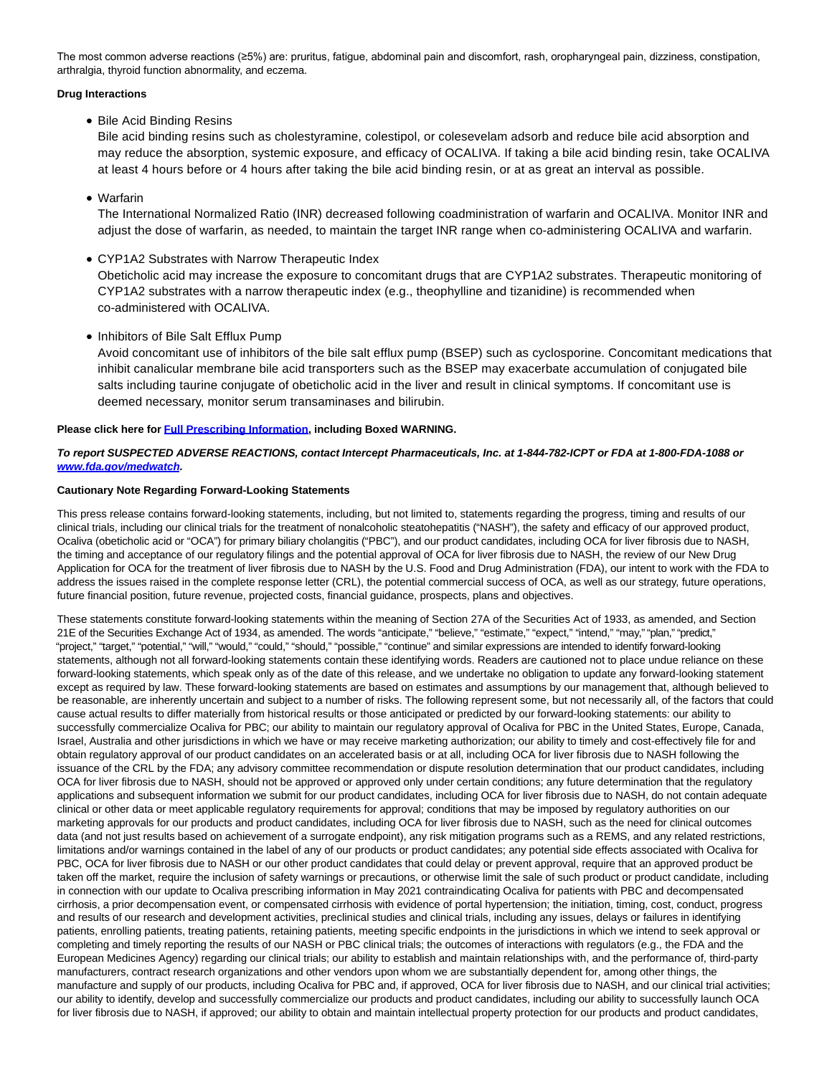The most common adverse reactions (≥5%) are: pruritus, fatigue, abdominal pain and discomfort, rash, oropharyngeal pain, dizziness, constipation, arthralgia, thyroid function abnormality, and eczema.

# **Drug Interactions**

• Bile Acid Binding Resins

Bile acid binding resins such as cholestyramine, colestipol, or colesevelam adsorb and reduce bile acid absorption and may reduce the absorption, systemic exposure, and efficacy of OCALIVA. If taking a bile acid binding resin, take OCALIVA at least 4 hours before or 4 hours after taking the bile acid binding resin, or at as great an interval as possible.

Warfarin

The International Normalized Ratio (INR) decreased following coadministration of warfarin and OCALIVA. Monitor INR and adjust the dose of warfarin, as needed, to maintain the target INR range when co-administering OCALIVA and warfarin.

CYP1A2 Substrates with Narrow Therapeutic Index

Obeticholic acid may increase the exposure to concomitant drugs that are CYP1A2 substrates. Therapeutic monitoring of CYP1A2 substrates with a narrow therapeutic index (e.g., theophylline and tizanidine) is recommended when co-administered with OCALIVA.

• Inhibitors of Bile Salt Efflux Pump

Avoid concomitant use of inhibitors of the bile salt efflux pump (BSEP) such as cyclosporine. Concomitant medications that inhibit canalicular membrane bile acid transporters such as the BSEP may exacerbate accumulation of conjugated bile salts including taurine conjugate of obeticholic acid in the liver and result in clinical symptoms. If concomitant use is deemed necessary, monitor serum transaminases and bilirubin.

# **Please click here for [Full Prescribing Information,](https://www.globenewswire.com/Tracker?data=DSoxo_twxM4TsBRAe4WAubfeWE9MiiALd7NzB8XMCLDXNVxSgldb_wfVVlHqpkOE9X1cUcH4fFBapUrcsHI4Cd0gRZTtcsphgSjKnowSTSuxbTHKurlb5cxerHi-8SZ-RtrrCqkuWVDyTbLT1JC_C1VR1Fh-CkiBvCFtb2thU95-uzxIfZCjesWhPDc1Uuw06-btJw0PwrI5UMTp0JcuJw==) including Boxed WARNING.**

# **To report SUSPECTED ADVERSE REACTIONS, contact Intercept Pharmaceuticals, Inc. at 1-844-782-ICPT or FDA at 1-800-FDA-1088 or [www.fda.gov/medwatch.](https://www.globenewswire.com/Tracker?data=hytyCQpvMyf8c6brA3rdnNnyy6T9Ih0cz9yO500fEIP9_USf_P5pDzK7L5gg9oD3qJottFoZkw6fMWj_zU_-eYCELgLZNqlfiqfqZySDDQc=)**

# **Cautionary Note Regarding Forward-Looking Statements**

This press release contains forward-looking statements, including, but not limited to, statements regarding the progress, timing and results of our clinical trials, including our clinical trials for the treatment of nonalcoholic steatohepatitis ("NASH"), the safety and efficacy of our approved product, Ocaliva (obeticholic acid or "OCA") for primary biliary cholangitis ("PBC"), and our product candidates, including OCA for liver fibrosis due to NASH, the timing and acceptance of our regulatory filings and the potential approval of OCA for liver fibrosis due to NASH, the review of our New Drug Application for OCA for the treatment of liver fibrosis due to NASH by the U.S. Food and Drug Administration (FDA), our intent to work with the FDA to address the issues raised in the complete response letter (CRL), the potential commercial success of OCA, as well as our strategy, future operations, future financial position, future revenue, projected costs, financial guidance, prospects, plans and objectives.

These statements constitute forward-looking statements within the meaning of Section 27A of the Securities Act of 1933, as amended, and Section 21E of the Securities Exchange Act of 1934, as amended. The words "anticipate," "believe," "estimate," "expect," "intend," "may," "plan," "predict," "project," "target," "potential," "will," "would," "could," "should," "possible," "continue" and similar expressions are intended to identify forward-looking statements, although not all forward-looking statements contain these identifying words. Readers are cautioned not to place undue reliance on these forward-looking statements, which speak only as of the date of this release, and we undertake no obligation to update any forward-looking statement except as required by law. These forward-looking statements are based on estimates and assumptions by our management that, although believed to be reasonable, are inherently uncertain and subject to a number of risks. The following represent some, but not necessarily all, of the factors that could cause actual results to differ materially from historical results or those anticipated or predicted by our forward-looking statements: our ability to successfully commercialize Ocaliva for PBC; our ability to maintain our regulatory approval of Ocaliva for PBC in the United States, Europe, Canada, Israel, Australia and other jurisdictions in which we have or may receive marketing authorization; our ability to timely and cost-effectively file for and obtain regulatory approval of our product candidates on an accelerated basis or at all, including OCA for liver fibrosis due to NASH following the issuance of the CRL by the FDA; any advisory committee recommendation or dispute resolution determination that our product candidates, including OCA for liver fibrosis due to NASH, should not be approved or approved only under certain conditions; any future determination that the regulatory applications and subsequent information we submit for our product candidates, including OCA for liver fibrosis due to NASH, do not contain adequate clinical or other data or meet applicable regulatory requirements for approval; conditions that may be imposed by regulatory authorities on our marketing approvals for our products and product candidates, including OCA for liver fibrosis due to NASH, such as the need for clinical outcomes data (and not just results based on achievement of a surrogate endpoint), any risk mitigation programs such as a REMS, and any related restrictions, limitations and/or warnings contained in the label of any of our products or product candidates; any potential side effects associated with Ocaliva for PBC, OCA for liver fibrosis due to NASH or our other product candidates that could delay or prevent approval, require that an approved product be taken off the market, require the inclusion of safety warnings or precautions, or otherwise limit the sale of such product or product candidate, including in connection with our update to Ocaliva prescribing information in May 2021 contraindicating Ocaliva for patients with PBC and decompensated cirrhosis, a prior decompensation event, or compensated cirrhosis with evidence of portal hypertension; the initiation, timing, cost, conduct, progress and results of our research and development activities, preclinical studies and clinical trials, including any issues, delays or failures in identifying patients, enrolling patients, treating patients, retaining patients, meeting specific endpoints in the jurisdictions in which we intend to seek approval or completing and timely reporting the results of our NASH or PBC clinical trials; the outcomes of interactions with regulators (e.g., the FDA and the European Medicines Agency) regarding our clinical trials; our ability to establish and maintain relationships with, and the performance of, third-party manufacturers, contract research organizations and other vendors upon whom we are substantially dependent for, among other things, the manufacture and supply of our products, including Ocaliva for PBC and, if approved, OCA for liver fibrosis due to NASH, and our clinical trial activities; our ability to identify, develop and successfully commercialize our products and product candidates, including our ability to successfully launch OCA for liver fibrosis due to NASH, if approved; our ability to obtain and maintain intellectual property protection for our products and product candidates,